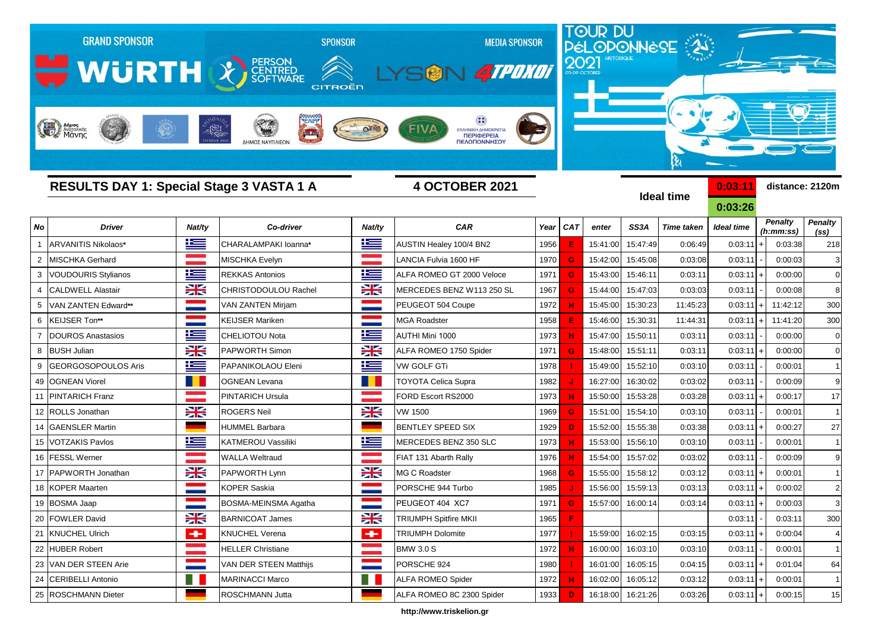

**http://www.triskelion.gr**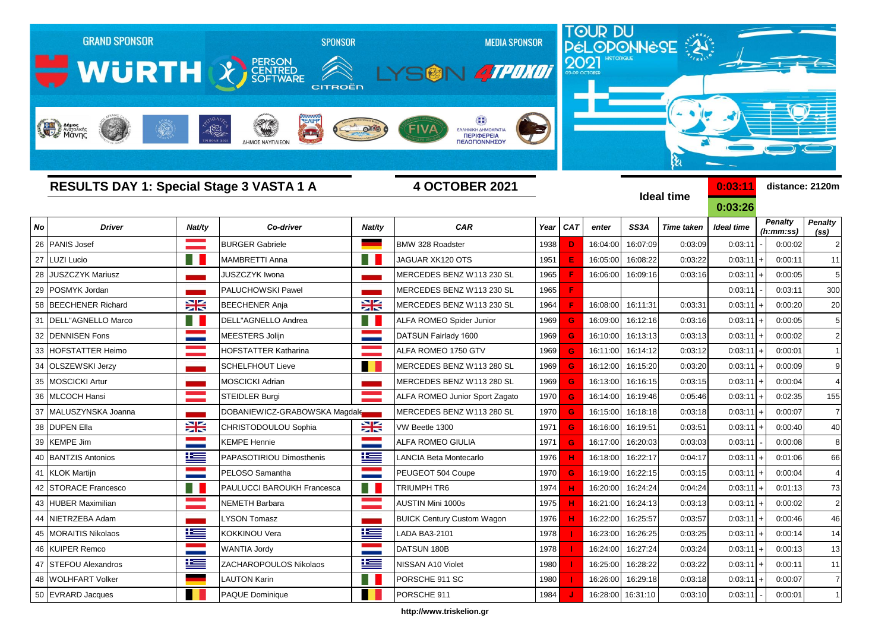

**http://www.triskelion.gr**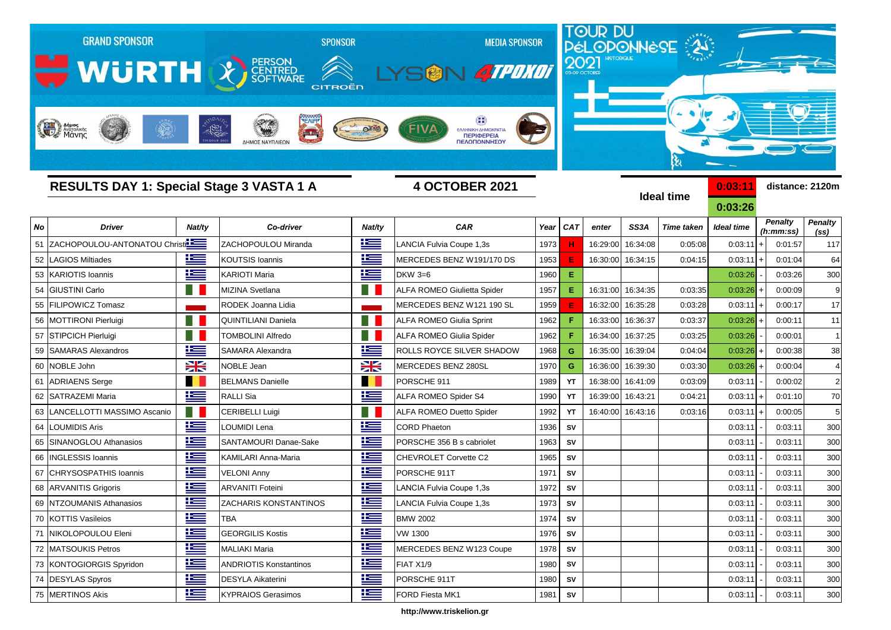

**http://www.triskelion.gr**

 KOTTIS Vasileios TBA BMW 2002 1974 **SV** 0:03:11 - 0:03:11 300 NIKOLOPOULOU Eleni GEORGILIS Kostis VW 1300 1976 **SV** 0:03:11 - 0:03:11 300 MATSOUKIS Petros MALIAKI Maria MERCEDES BENZ W123 Coupe 1978 **SV** 0:03:11 - 0:03:11 300 73 KONTOGIORGIS Spyridon | **EEE** ANDRIOTIS Konstantinos | EEE FIAT X1/9 | 1980 | SV | | | | 0:03:11 | 0:03:11 300 DESYLAS Spyros DESYLA Aikaterini PORSCHE 911T 1980 **SV** 0:03:11 - 0:03:11 300 75 |MERTINOS Akis | <mark>主三</mark> |KYPRAIOS Gerasimos | 主三 |FORD Fiesta MK1 | 3981 | sv | | | 300